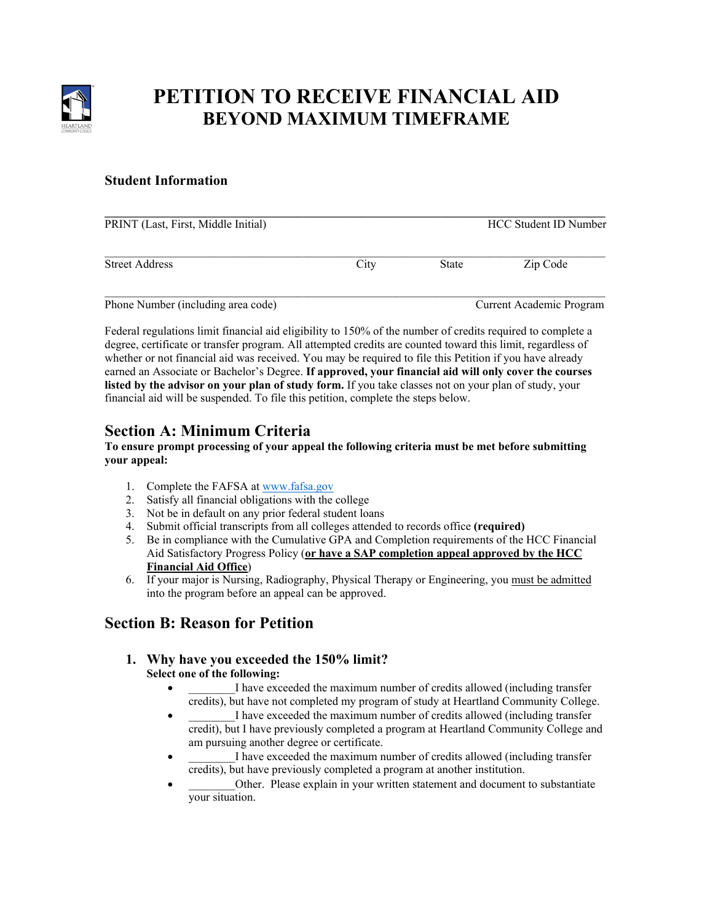

# **PETITION TO RECEIVE FINANCIAL AID BEYOND MAXIMUM TIMEFRAME**

### **Student Information**

| PRINT (Last, First, Middle Initial) |      |       | HCC Student ID Number    |
|-------------------------------------|------|-------|--------------------------|
| <b>Street Address</b>               | City | State | Zip Code                 |
| Phone Number (including area code)  |      |       | Current Academic Program |

Federal regulations limit financial aid eligibility to 150% of the number of credits required to complete a degree, certificate or transfer program. All attempted credits are counted toward this limit, regardless of whether or not financial aid was received. You may be required to file this Petition if you have already earned an Associate or Bachelor's Degree. **If approved, your financial aid will only cover the courses listed by the advisor on your plan of study form.** If you take classes not on your plan of study, your financial aid will be suspended. To file this petition, complete the steps below.

# **Section A: Minimum Criteria**

#### **To ensure prompt processing of your appeal the following criteria must be met before submitting your appeal:**

- 1. Complete the FAFSA at [www.fafsa.gov](http://www.fafsa.gov/)
- 2. Satisfy all financial obligations with the college
- 3. Not be in default on any prior federal student loans
- 4. Submit official transcripts from all colleges attended to records office **(required)**
- 5. Be in compliance with the Cumulative GPA and Completion requirements of the HCC Financial Aid Satisfactory Progress Policy (**or have a SAP completion appeal approved by the HCC Financial Aid Office**)
- 6. If your major is Nursing, Radiography, Physical Therapy or Engineering, you must be admitted into the program before an appeal can be approved.

# **Section B: Reason for Petition**

#### **1. Why have you exceeded the 150% limit? Select one of the following:**

- I have exceeded the maximum number of credits allowed (including transfer credits), but have not completed my program of study at Heartland Community College.
- I have exceeded the maximum number of credits allowed (including transfer credit), but I have previously completed a program at Heartland Community College and am pursuing another degree or certificate.
- I have exceeded the maximum number of credits allowed (including transfer credits), but have previously completed a program at another institution.
- Other. Please explain in your written statement and document to substantiate your situation.